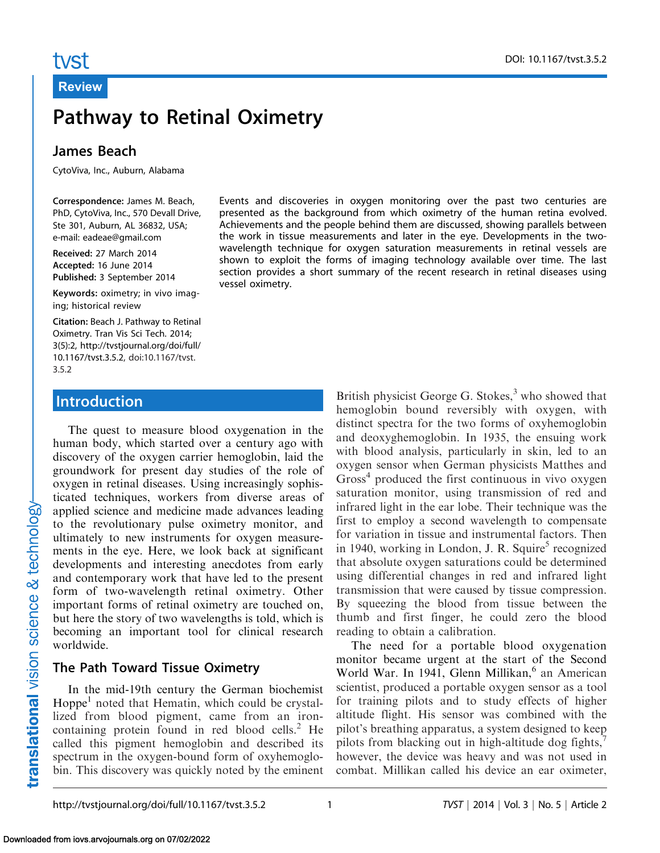# Pathway to Retinal Oximetry

#### James Beach

CytoViva, Inc., Auburn, Alabama

Correspondence: James M. Beach, PhD, CytoViva, Inc., 570 Devall Drive, Ste 301, Auburn, AL 36832, USA; e-mail: eadeae@gmail.com

Received: 27 March 2014 Accepted: 16 June 2014 Published: 3 September 2014

Keywords: oximetry; in vivo imaging; historical review

Citation: [Beach J. Pathway to Retinal](http://tvstjournal.org/doi/full/10.1167/tvst.3.5.2) [Oximetry. Tran Vis Sci Tech. 2014;](http://tvstjournal.org/doi/full/10.1167/tvst.3.5.2) [3\(5\):2, http://tvstjournal.org/doi/full/](http://tvstjournal.org/doi/full/10.1167/tvst.3.5.2) [10.1167/tvst.3.5.2, doi:10.1167/tvst.](http://tvstjournal.org/doi/full/10.1167/tvst.3.5.2) [3.5.2](http://tvstjournal.org/doi/full/10.1167/tvst.3.5.2)

### Introduction

The quest to measure blood oxygenation in the human body, which started over a century ago with discovery of the oxygen carrier hemoglobin, laid the groundwork for present day studies of the role of oxygen in retinal diseases. Using increasingly sophisticated techniques, workers from diverse areas of applied science and medicine made advances leading to the revolutionary pulse oximetry monitor, and ultimately to new instruments for oxygen measurements in the eye. Here, we look back at significant developments and interesting anecdotes from early and contemporary work that have led to the present form of two-wavelength retinal oximetry. Other important forms of retinal oximetry are touched on, but here the story of two wavelengths is told, which is becoming an important tool for clinical research worldwide.

# The Path Toward Tissue Oximetry

In the mid-19th century the German biochemist Hoppe<sup>[1](#page-6-0)</sup> noted that Hematin, which could be crystallized from blood pigment, came from an ironcontaining protein found in red blood cells. $<sup>2</sup>$  $<sup>2</sup>$  $<sup>2</sup>$  He</sup> called this pigment hemoglobin and described its spectrum in the oxygen-bound form of oxyhemoglobin. This discovery was quickly noted by the eminent

Events and discoveries in oxygen monitoring over the past two centuries are presented as the background from which oximetry of the human retina evolved. Achievements and the people behind them are discussed, showing parallels between the work in tissue measurements and later in the eye. Developments in the twowavelength technique for oxygen saturation measurements in retinal vessels are shown to exploit the forms of imaging technology available over time. The last section provides a short summary of the recent research in retinal diseases using vessel oximetry.

> British physicist George G. Stokes, $3$  who showed that hemoglobin bound reversibly with oxygen, with distinct spectra for the two forms of oxyhemoglobin and deoxyghemoglobin. In 1935, the ensuing work with blood analysis, particularly in skin, led to an oxygen sensor when German physicists Matthes and  $Gross<sup>4</sup> produced the first continuous in vivo oxygen$  $Gross<sup>4</sup> produced the first continuous in vivo oxygen$  $Gross<sup>4</sup> produced the first continuous in vivo oxygen$ saturation monitor, using transmission of red and infrared light in the ear lobe. Their technique was the first to employ a second wavelength to compensate for variation in tissue and instrumental factors. Then in 1940, working in London, J. R. Squire<sup>[5](#page-6-0)</sup> recognized that absolute oxygen saturations could be determined using differential changes in red and infrared light transmission that were caused by tissue compression. By squeezing the blood from tissue between the thumb and first finger, he could zero the blood reading to obtain a calibration.

> The need for a portable blood oxygenation monitor became urgent at the start of the Second World War. In 1941, Glenn Millikan,<sup>[6](#page-6-0)</sup> an American scientist, produced a portable oxygen sensor as a tool for training pilots and to study effects of higher altitude flight. His sensor was combined with the pilot's breathing apparatus, a system designed to keep pilots from blacking out in high-altitude dog fights, $\frac{7}{2}$  $\frac{7}{2}$  $\frac{7}{2}$ however, the device was heavy and was not used in combat. Millikan called his device an ear oximeter,

DOI: 10.1167/tvst.3.5.2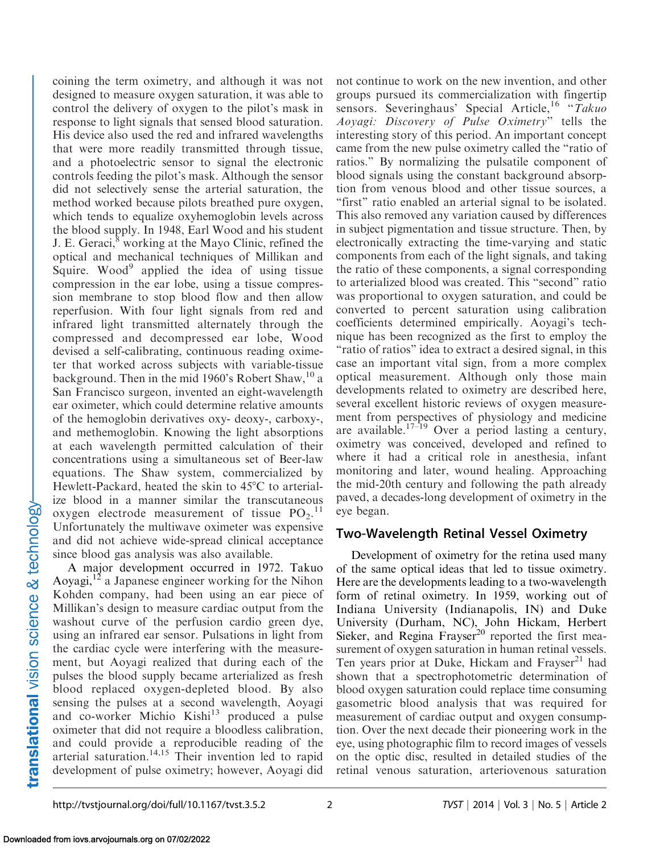coining the term oximetry, and although it was not designed to measure oxygen saturation, it was able to control the delivery of oxygen to the pilot's mask in response to light signals that sensed blood saturation. His device also used the red and infrared wavelengths that were more readily transmitted through tissue, and a photoelectric sensor to signal the electronic controls feeding the pilot's mask. Although the sensor did not selectively sense the arterial saturation, the method worked because pilots breathed pure oxygen, which tends to equalize oxyhemoglobin levels across the blood supply. In 1948, Earl Wood and his student J. E. Geraci,<sup>8</sup> working at the Mayo Clinic, refined the optical and mechanical techniques of Millikan and Squire. Wood<sup>[9](#page-6-0)</sup> applied the idea of using tissue compression in the ear lobe, using a tissue compression membrane to stop blood flow and then allow reperfusion. With four light signals from red and infrared light transmitted alternately through the compressed and decompressed ear lobe, Wood devised a self-calibrating, continuous reading oximeter that worked across subjects with variable-tissue background. Then in the mid 1960's Robert Shaw,  $^{10}$  $^{10}$  $^{10}$  a San Francisco surgeon, invented an eight-wavelength ear oximeter, which could determine relative amounts of the hemoglobin derivatives oxy- deoxy-, carboxy-, and methemoglobin. Knowing the light absorptions at each wavelength permitted calculation of their concentrations using a simultaneous set of Beer-law equations. The Shaw system, commercialized by Hewlett-Packard, heated the skin to  $45^{\circ}$ C to arterialize blood in a manner similar the transcutaneous oxygen electrode measurement of tissue  $PO_2$ .<sup>[11](#page-6-0)</sup> Unfortunately the multiwave oximeter was expensive and did not achieve wide-spread clinical acceptance since blood gas analysis was also available.

A major development occurred in 1972. Takuo Aoyagi,<sup>[12](#page-6-0)</sup> a Japanese engineer working for the Nihon Kohden company, had been using an ear piece of Millikan's design to measure cardiac output from the washout curve of the perfusion cardio green dye, using an infrared ear sensor. Pulsations in light from the cardiac cycle were interfering with the measurement, but Aoyagi realized that during each of the pulses the blood supply became arterialized as fresh blood replaced oxygen-depleted blood. By also sensing the pulses at a second wavelength, Aoyagi and co-worker Michio Kishi<sup>[13](#page-6-0)</sup> produced a pulse oximeter that did not require a bloodless calibration, and could provide a reproducible reading of the arterial saturation.<sup>14,15</sup> Their invention led to rapid development of pulse oximetry; however, Aoyagi did

not continue to work on the new invention, and other groups pursued its commercialization with fingertip sensors. Severinghaus' Special Article,<sup>[16](#page-6-0)</sup> "Takuo Aoyagi: Discovery of Pulse Oximetry'' tells the interesting story of this period. An important concept came from the new pulse oximetry called the "ratio of ratios.'' By normalizing the pulsatile component of blood signals using the constant background absorption from venous blood and other tissue sources, a "first" ratio enabled an arterial signal to be isolated. This also removed any variation caused by differences in subject pigmentation and tissue structure. Then, by electronically extracting the time-varying and static components from each of the light signals, and taking the ratio of these components, a signal corresponding to arterialized blood was created. This ''second'' ratio was proportional to oxygen saturation, and could be converted to percent saturation using calibration coefficients determined empirically. Aoyagi's technique has been recognized as the first to employ the ''ratio of ratios'' idea to extract a desired signal, in this case an important vital sign, from a more complex optical measurement. Although only those main developments related to oximetry are described here, several excellent historic reviews of oxygen measurement from perspectives of physiology and medicine are available.<sup>17–19</sup> Over a period lasting a century, oximetry was conceived, developed and refined to where it had a critical role in anesthesia, infant monitoring and later, wound healing. Approaching the mid-20th century and following the path already paved, a decades-long development of oximetry in the eye began.

#### Two-Wavelength Retinal Vessel Oximetry

Development of oximetry for the retina used many of the same optical ideas that led to tissue oximetry. Here are the developments leading to a two-wavelength form of retinal oximetry. In 1959, working out of Indiana University (Indianapolis, IN) and Duke University (Durham, NC), John Hickam, Herbert Sieker, and Regina Frayser<sup>20</sup> reported the first measurement of oxygen saturation in human retinal vessels. Ten years prior at Duke, Hickam and Frayser<sup>21</sup> had shown that a spectrophotometric determination of blood oxygen saturation could replace time consuming gasometric blood analysis that was required for measurement of cardiac output and oxygen consumption. Over the next decade their pioneering work in the eye, using photographic film to record images of vessels on the optic disc, resulted in detailed studies of the retinal venous saturation, arteriovenous saturation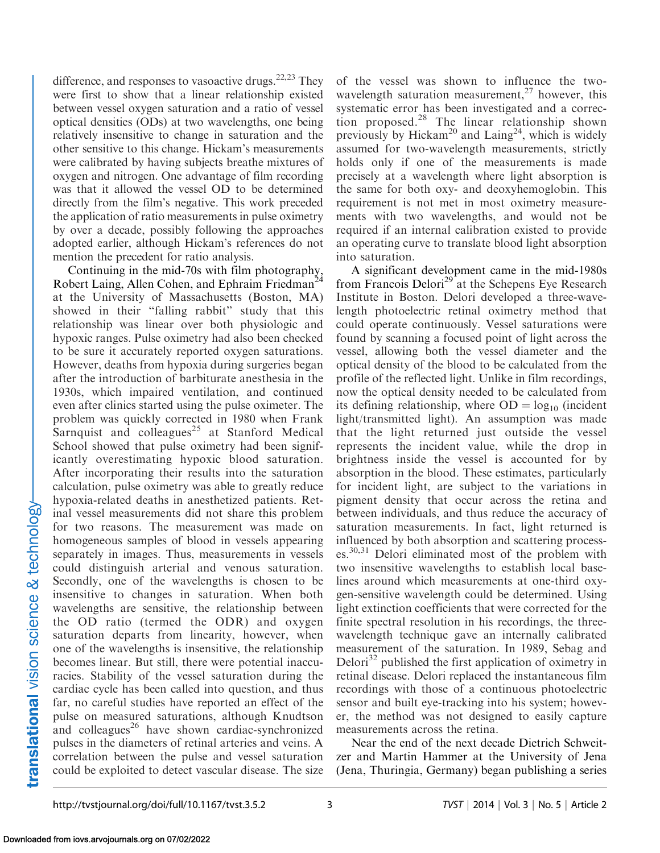difference, and responses to vasoactive drugs.<sup>22,23</sup> They were first to show that a linear relationship existed between vessel oxygen saturation and a ratio of vessel optical densities (ODs) at two wavelengths, one being relatively insensitive to change in saturation and the other sensitive to this change. Hickam's measurements were calibrated by having subjects breathe mixtures of oxygen and nitrogen. One advantage of film recording was that it allowed the vessel OD to be determined directly from the film's negative. This work preceded the application of ratio measurements in pulse oximetry by over a decade, possibly following the approaches adopted earlier, although Hickam's references do not mention the precedent for ratio analysis.

Continuing in the mid-70s with film photography, Robert Laing, Allen Cohen, and Ephraim Friedman<sup>2</sup> at the University of Massachusetts (Boston, MA) showed in their "falling rabbit" study that this relationship was linear over both physiologic and hypoxic ranges. Pulse oximetry had also been checked to be sure it accurately reported oxygen saturations. However, deaths from hypoxia during surgeries began after the introduction of barbiturate anesthesia in the 1930s, which impaired ventilation, and continued even after clinics started using the pulse oximeter. The problem was quickly corrected in 1980 when Frank Sarnquist and colleagues<sup>[25](#page-6-0)</sup> at Stanford Medical School showed that pulse oximetry had been significantly overestimating hypoxic blood saturation. After incorporating their results into the saturation calculation, pulse oximetry was able to greatly reduce hypoxia-related deaths in anesthetized patients. Retinal vessel measurements did not share this problem for two reasons. The measurement was made on homogeneous samples of blood in vessels appearing separately in images. Thus, measurements in vessels could distinguish arterial and venous saturation. Secondly, one of the wavelengths is chosen to be insensitive to changes in saturation. When both wavelengths are sensitive, the relationship between the OD ratio (termed the ODR) and oxygen saturation departs from linearity, however, when one of the wavelengths is insensitive, the relationship becomes linear. But still, there were potential inaccuracies. Stability of the vessel saturation during the cardiac cycle has been called into question, and thus far, no careful studies have reported an effect of the pulse on measured saturations, although Knudtson and colleagues<sup>[26](#page-6-0)</sup> have shown cardiac-synchronized pulses in the diameters of retinal arteries and veins. A correlation between the pulse and vessel saturation could be exploited to detect vascular disease. The size

of the vessel was shown to influence the two-wavelength saturation measurement,<sup>[27](#page-7-0)</sup> however, this systematic error has been investigated and a correction proposed.[28](#page-7-0) The linear relationship shown previously by Hickam<sup>[20](#page-6-0)</sup> and Laing<sup>24</sup>, which is widely assumed for two-wavelength measurements, strictly holds only if one of the measurements is made precisely at a wavelength where light absorption is the same for both oxy- and deoxyhemoglobin. This requirement is not met in most oximetry measurements with two wavelengths, and would not be required if an internal calibration existed to provide an operating curve to translate blood light absorption into saturation.

A significant development came in the mid-1980s from Francois Delori<sup>[29](#page-7-0)</sup> at the Schepens Eye Research Institute in Boston. Delori developed a three-wavelength photoelectric retinal oximetry method that could operate continuously. Vessel saturations were found by scanning a focused point of light across the vessel, allowing both the vessel diameter and the optical density of the blood to be calculated from the profile of the reflected light. Unlike in film recordings, now the optical density needed to be calculated from its defining relationship, where  $OD = log_{10}$  (incident light/transmitted light). An assumption was made that the light returned just outside the vessel represents the incident value, while the drop in brightness inside the vessel is accounted for by absorption in the blood. These estimates, particularly for incident light, are subject to the variations in pigment density that occur across the retina and between individuals, and thus reduce the accuracy of saturation measurements. In fact, light returned is influenced by both absorption and scattering process $es^{30,31}$  Delori eliminated most of the problem with two insensitive wavelengths to establish local baselines around which measurements at one-third oxygen-sensitive wavelength could be determined. Using light extinction coefficients that were corrected for the finite spectral resolution in his recordings, the threewavelength technique gave an internally calibrated measurement of the saturation. In 1989, Sebag and Delori<sup>[32](#page-7-0)</sup> published the first application of oximetry in retinal disease. Delori replaced the instantaneous film recordings with those of a continuous photoelectric sensor and built eye-tracking into his system; however, the method was not designed to easily capture measurements across the retina.

Near the end of the next decade Dietrich Schweitzer and Martin Hammer at the University of Jena (Jena, Thuringia, Germany) began publishing a series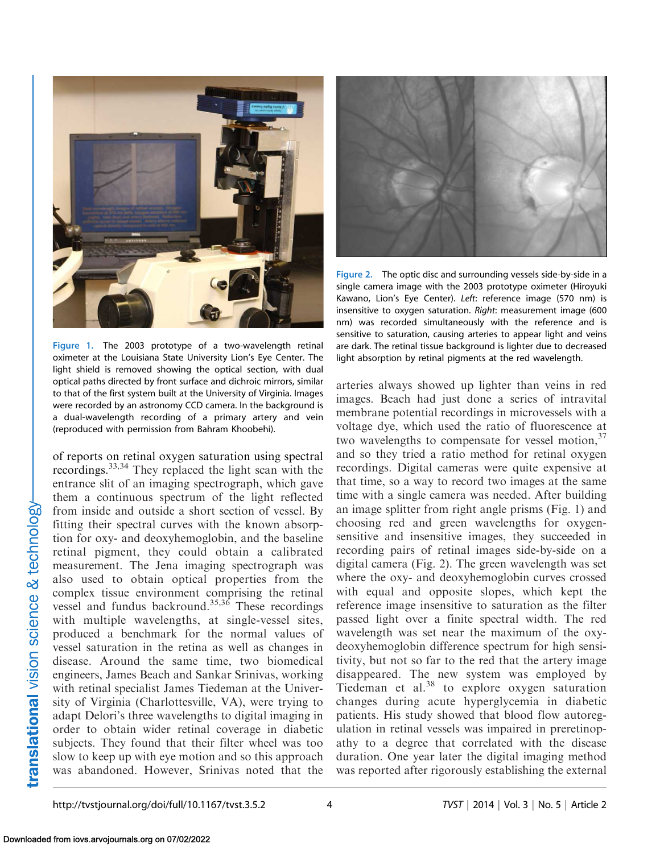<span id="page-3-0"></span>

Figure 1. The 2003 prototype of a two-wavelength retinal oximeter at the Louisiana State University Lion's Eye Center. The light shield is removed showing the optical section, with dual optical paths directed by front surface and dichroic mirrors, similar to that of the first system built at the University of Virginia. Images were recorded by an astronomy CCD camera. In the background is a dual-wavelength recording of a primary artery and vein (reproduced with permission from Bahram Khoobehi).

of reports on retinal oxygen saturation using spectral recordings.[33,34](#page-7-0) They replaced the light scan with the entrance slit of an imaging spectrograph, which gave them a continuous spectrum of the light reflected from inside and outside a short section of vessel. By fitting their spectral curves with the known absorption for oxy- and deoxyhemoglobin, and the baseline retinal pigment, they could obtain a calibrated measurement. The Jena imaging spectrograph was also used to obtain optical properties from the complex tissue environment comprising the retinal vessel and fundus backround.[35,36](#page-7-0) These recordings with multiple wavelengths, at single-vessel sites, produced a benchmark for the normal values of vessel saturation in the retina as well as changes in disease. Around the same time, two biomedical engineers, James Beach and Sankar Srinivas, working with retinal specialist James Tiedeman at the University of Virginia (Charlottesville, VA), were trying to adapt Delori's three wavelengths to digital imaging in order to obtain wider retinal coverage in diabetic subjects. They found that their filter wheel was too slow to keep up with eye motion and so this approach was abandoned. However, Srinivas noted that the



Figure 2. The optic disc and surrounding vessels side-by-side in a single camera image with the 2003 prototype oximeter (Hiroyuki Kawano, Lion's Eye Center). Left: reference image (570 nm) is insensitive to oxygen saturation. Right: measurement image (600 nm) was recorded simultaneously with the reference and is sensitive to saturation, causing arteries to appear light and veins are dark. The retinal tissue background is lighter due to decreased light absorption by retinal pigments at the red wavelength.

arteries always showed up lighter than veins in red images. Beach had just done a series of intravital membrane potential recordings in microvessels with a voltage dye, which used the ratio of fluorescence at two wavelengths to compensate for vessel motion,  $37$ and so they tried a ratio method for retinal oxygen recordings. Digital cameras were quite expensive at that time, so a way to record two images at the same time with a single camera was needed. After building an image splitter from right angle prisms (Fig. 1) and choosing red and green wavelengths for oxygensensitive and insensitive images, they succeeded in recording pairs of retinal images side-by-side on a digital camera (Fig. 2). The green wavelength was set where the oxy- and deoxyhemoglobin curves crossed with equal and opposite slopes, which kept the reference image insensitive to saturation as the filter passed light over a finite spectral width. The red wavelength was set near the maximum of the oxydeoxyhemoglobin difference spectrum for high sensitivity, but not so far to the red that the artery image disappeared. The new system was employed by Tiedeman et al. $38$  to explore oxygen saturation changes during acute hyperglycemia in diabetic patients. His study showed that blood flow autoregulation in retinal vessels was impaired in preretinopathy to a degree that correlated with the disease duration. One year later the digital imaging method was reported after rigorously establishing the external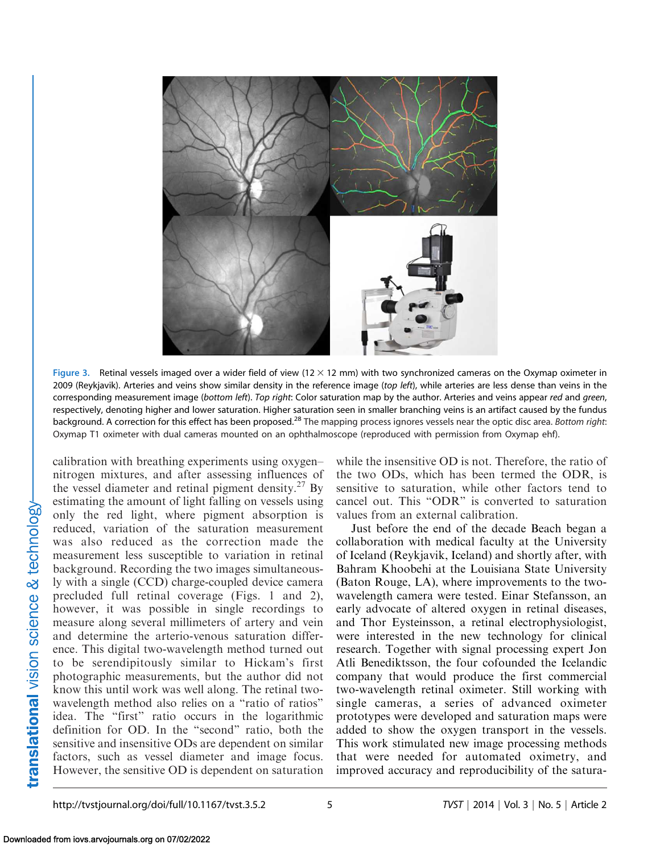<span id="page-4-0"></span>

Figure 3. Retinal vessels imaged over a wider field of view ( $12 \times 12$  mm) with two synchronized cameras on the Oxymap oximeter in 2009 (Reykjavik). Arteries and veins show similar density in the reference image (top left), while arteries are less dense than veins in the corresponding measurement image (bottom left). Top right: Color saturation map by the author. Arteries and veins appear red and green, respectively, denoting higher and lower saturation. Higher saturation seen in smaller branching veins is an artifact caused by the fundus background. A correction for this effect has been proposed.<sup>[28](#page-7-0)</sup> The mapping process ignores vessels near the optic disc area. Bottom right: Oxymap T1 oximeter with dual cameras mounted on an ophthalmoscope (reproduced with permission from Oxymap ehf).

calibration with breathing experiments using oxygen– nitrogen mixtures, and after assessing influences of the vessel diameter and retinal pigment density.<sup>27</sup> By estimating the amount of light falling on vessels using only the red light, where pigment absorption is reduced, variation of the saturation measurement was also reduced as the correction made the measurement less susceptible to variation in retinal background. Recording the two images simultaneously with a single (CCD) charge-coupled device camera precluded full retinal coverage [\(Figs. 1](#page-3-0) and [2](#page-3-0)), however, it was possible in single recordings to measure along several millimeters of artery and vein and determine the arterio-venous saturation difference. This digital two-wavelength method turned out to be serendipitously similar to Hickam's first photographic measurements, but the author did not know this until work was well along. The retinal twowavelength method also relies on a ''ratio of ratios'' idea. The ''first'' ratio occurs in the logarithmic definition for OD. In the ''second'' ratio, both the sensitive and insensitive ODs are dependent on similar factors, such as vessel diameter and image focus. However, the sensitive OD is dependent on saturation

while the insensitive OD is not. Therefore, the ratio of the two ODs, which has been termed the ODR, is sensitive to saturation, while other factors tend to cancel out. This ''ODR'' is converted to saturation values from an external calibration.

Just before the end of the decade Beach began a collaboration with medical faculty at the University of Iceland (Reykjavik, Iceland) and shortly after, with Bahram Khoobehi at the Louisiana State University (Baton Rouge, LA), where improvements to the twowavelength camera were tested. Einar Stefansson, an early advocate of altered oxygen in retinal diseases, and Thor Eysteinsson, a retinal electrophysiologist, were interested in the new technology for clinical research. Together with signal processing expert Jon Atli Benediktsson, the four cofounded the Icelandic company that would produce the first commercial two-wavelength retinal oximeter. Still working with single cameras, a series of advanced oximeter prototypes were developed and saturation maps were added to show the oxygen transport in the vessels. This work stimulated new image processing methods that were needed for automated oximetry, and improved accuracy and reproducibility of the satura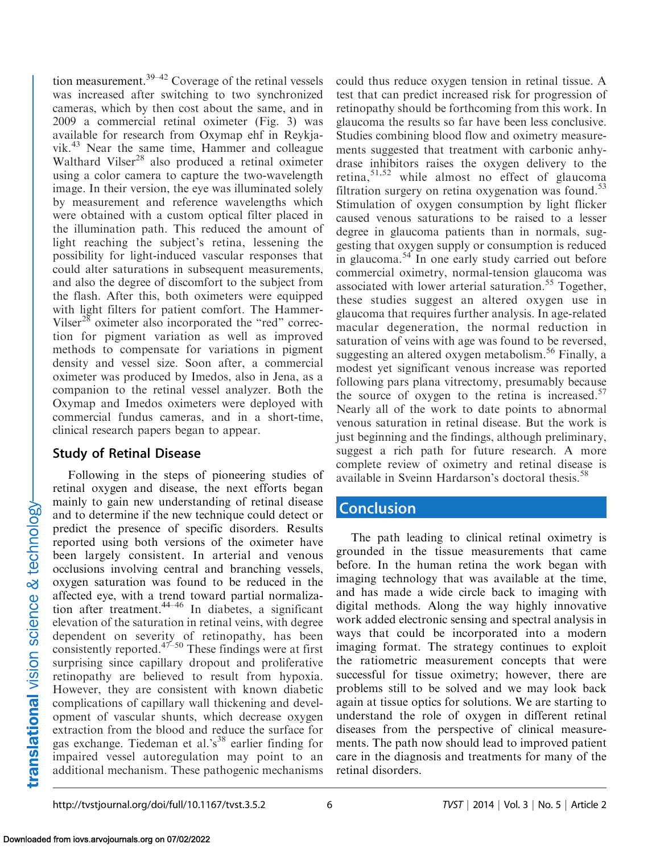tion measurement.[39–42](#page-7-0) Coverage of the retinal vessels was increased after switching to two synchronized cameras, which by then cost about the same, and in 2009 a commercial retinal oximeter [\(Fig. 3\)](#page-4-0) was available for research from Oxymap ehf in Reykjavik.[43](#page-7-0) Near the same time, Hammer and colleague Walthard Vilser<sup>[28](#page-7-0)</sup> also produced a retinal oximeter using a color camera to capture the two-wavelength image. In their version, the eye was illuminated solely by measurement and reference wavelengths which were obtained with a custom optical filter placed in the illumination path. This reduced the amount of light reaching the subject's retina, lessening the possibility for light-induced vascular responses that could alter saturations in subsequent measurements, and also the degree of discomfort to the subject from the flash. After this, both oximeters were equipped with light filters for patient comfort. The Hammer-Vilser<sup>[28](#page-7-0)</sup> oximeter also incorporated the "red" correction for pigment variation as well as improved methods to compensate for variations in pigment density and vessel size. Soon after, a commercial oximeter was produced by Imedos, also in Jena, as a companion to the retinal vessel analyzer. Both the Oxymap and Imedos oximeters were deployed with commercial fundus cameras, and in a short-time, clinical research papers began to appear.

#### Study of Retinal Disease

Following in the steps of pioneering studies of retinal oxygen and disease, the next efforts began mainly to gain new understanding of retinal disease and to determine if the new technique could detect or predict the presence of specific disorders. Results reported using both versions of the oximeter have been largely consistent. In arterial and venous occlusions involving central and branching vessels, oxygen saturation was found to be reduced in the affected eye, with a trend toward partial normalization after treatment. $44-46$  In diabetes, a significant elevation of the saturation in retinal veins, with degree dependent on severity of retinopathy, has been consistently reported. $47-50$  These findings were at first surprising since capillary dropout and proliferative retinopathy are believed to result from hypoxia. However, they are consistent with known diabetic complications of capillary wall thickening and development of vascular shunts, which decrease oxygen extraction from the blood and reduce the surface for gas exchange. Tiedeman et al.'s<sup>[38](#page-7-0)</sup> earlier finding for impaired vessel autoregulation may point to an additional mechanism. These pathogenic mechanisms

could thus reduce oxygen tension in retinal tissue. A test that can predict increased risk for progression of retinopathy should be forthcoming from this work. In glaucoma the results so far have been less conclusive. Studies combining blood flow and oximetry measurements suggested that treatment with carbonic anhydrase inhibitors raises the oxygen delivery to the retina, $51,52$  $51,52$  $51,52$  while almost no effect of glaucoma filtration surgery on retina oxygenation was found.<sup>[53](#page-8-0)</sup> Stimulation of oxygen consumption by light flicker caused venous saturations to be raised to a lesser degree in glaucoma patients than in normals, suggesting that oxygen supply or consumption is reduced in glaucoma.<sup>54</sup> In one early study carried out before commercial oximetry, normal-tension glaucoma was associated with lower arterial saturation.<sup>[55](#page-8-0)</sup> Together, these studies suggest an altered oxygen use in glaucoma that requires further analysis. In age-related macular degeneration, the normal reduction in saturation of veins with age was found to be reversed, suggesting an altered oxygen metabolism.<sup>[56](#page-8-0)</sup> Finally, a modest yet significant venous increase was reported following pars plana vitrectomy, presumably because the source of oxygen to the retina is increased.<sup>[57](#page-8-0)</sup> Nearly all of the work to date points to abnormal venous saturation in retinal disease. But the work is just beginning and the findings, although preliminary, suggest a rich path for future research. A more complete review of oximetry and retinal disease is available in Sveinn Hardarson's doctoral thesis.<sup>[58](#page-8-0)</sup>

# **Conclusion**

The path leading to clinical retinal oximetry is grounded in the tissue measurements that came before. In the human retina the work began with imaging technology that was available at the time, and has made a wide circle back to imaging with digital methods. Along the way highly innovative work added electronic sensing and spectral analysis in ways that could be incorporated into a modern imaging format. The strategy continues to exploit the ratiometric measurement concepts that were successful for tissue oximetry; however, there are problems still to be solved and we may look back again at tissue optics for solutions. We are starting to understand the role of oxygen in different retinal diseases from the perspective of clinical measurements. The path now should lead to improved patient care in the diagnosis and treatments for many of the retinal disorders.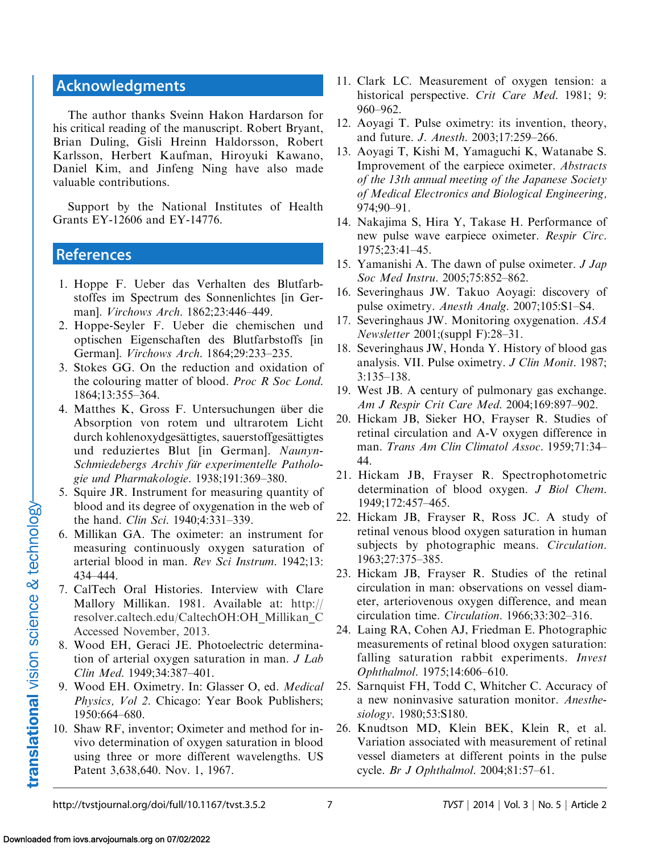# <span id="page-6-0"></span>Acknowledgments

The author thanks Sveinn Hakon Hardarson for his critical reading of the manuscript. Robert Bryant, Brian Duling, Gisli Hreinn Haldorsson, Robert Karlsson, Herbert Kaufman, Hiroyuki Kawano, Daniel Kim, and Jinfeng Ning have also made valuable contributions.

Support by the National Institutes of Health Grants EY-12606 and EY-14776.

#### **References**

- 1. Hoppe F. Ueber das Verhalten des Blutfarbstoffes im Spectrum des Sonnenlichtes [in German]. Virchows Arch. 1862;23:446–449.
- 2. Hoppe-Seyler F. Ueber die chemischen und optischen Eigenschaften des Blutfarbstoffs [in German]. Virchows Arch. 1864;29:233–235.
- 3. Stokes GG. On the reduction and oxidation of the colouring matter of blood. Proc R Soc Lond. 1864;13:355–364.
- 4. Matthes K, Gross F. Untersuchungen über die Absorption von rotem und ultrarotem Licht durch kohlenoxydgesättigtes, sauerstoffgesättigtes und reduziertes Blut [in German]. Naunyn-Schmiedebergs Archiv für experimentelle Pathologie und Pharmakologie. 1938;191:369–380.
- 5. Squire JR. Instrument for measuring quantity of blood and its degree of oxygenation in the web of the hand. Clin Sci. 1940;4:331–339.
- 6. Millikan GA. The oximeter: an instrument for measuring continuously oxygen saturation of arterial blood in man. Rev Sci Instrum. 1942;13: 434–444.
- 7. CalTech Oral Histories. Interview with Clare Mallory Millikan. 1981. Available at: [http://](http://resolver.caltech.edu/CaltechOH:OH_Millikan_C) [resolver.caltech.edu/CaltechOH:OH\\_Millikan\\_C](http://resolver.caltech.edu/CaltechOH:OH_Millikan_C) Accessed November, 2013.
- 8. Wood EH, Geraci JE. Photoelectric determination of arterial oxygen saturation in man. J Lab Clin Med. 1949;34:387–401.
- 9. Wood EH. Oximetry. In: Glasser O, ed. Medical Physics, Vol 2. Chicago: Year Book Publishers; 1950:664–680.
- 10. Shaw RF, inventor; Oximeter and method for invivo determination of oxygen saturation in blood using three or more different wavelengths. US Patent 3,638,640. Nov. 1, 1967.
- 11. Clark LC. Measurement of oxygen tension: a historical perspective. Crit Care Med. 1981; 9: 960–962.
- 12. Aoyagi T. Pulse oximetry: its invention, theory, and future. J. Anesth. 2003;17:259–266.
- 13. Aoyagi T, Kishi M, Yamaguchi K, Watanabe S. Improvement of the earpiece oximeter. Abstracts of the 13th annual meeting of the Japanese Society of Medical Electronics and Biological Engineering, 974;90–91.
- 14. Nakajima S, Hira Y, Takase H. Performance of new pulse wave earpiece oximeter. Respir Circ. 1975;23:41–45.
- 15. Yamanishi A. The dawn of pulse oximeter. J Jap Soc Med Instru. 2005;75:852–862.
- 16. Severinghaus JW. Takuo Aoyagi: discovery of pulse oximetry. Anesth Analg. 2007;105:S1–S4.
- 17. Severinghaus JW. Monitoring oxygenation. ASA Newsletter 2001;(suppl F):28–31.
- 18. Severinghaus JW, Honda Y. History of blood gas analysis. VII. Pulse oximetry. J Clin Monit. 1987; 3:135–138.
- 19. West JB. A century of pulmonary gas exchange. Am J Respir Crit Care Med. 2004;169:897–902.
- 20. Hickam JB, Sieker HO, Frayser R. Studies of retinal circulation and A-V oxygen difference in man. Trans Am Clin Climatol Assoc. 1959;71:34– 44.
- 21. Hickam JB, Frayser R. Spectrophotometric determination of blood oxygen. J Biol Chem. 1949;172:457–465.
- 22. Hickam JB, Frayser R, Ross JC. A study of retinal venous blood oxygen saturation in human subjects by photographic means. Circulation. 1963;27:375–385.
- 23. Hickam JB, Frayser R. Studies of the retinal circulation in man: observations on vessel diameter, arteriovenous oxygen difference, and mean circulation time. Circulation. 1966;33:302–316.
- 24. Laing RA, Cohen AJ, Friedman E. Photographic measurements of retinal blood oxygen saturation: falling saturation rabbit experiments. Invest Ophthalmol. 1975;14:606–610.
- 25. Sarnquist FH, Todd C, Whitcher C. Accuracy of a new noninvasive saturation monitor. Anesthesiology. 1980;53:S180.
- 26. Knudtson MD, Klein BEK, Klein R, et al. Variation associated with measurement of retinal vessel diameters at different points in the pulse cycle. Br J Ophthalmol. 2004;81:57–61.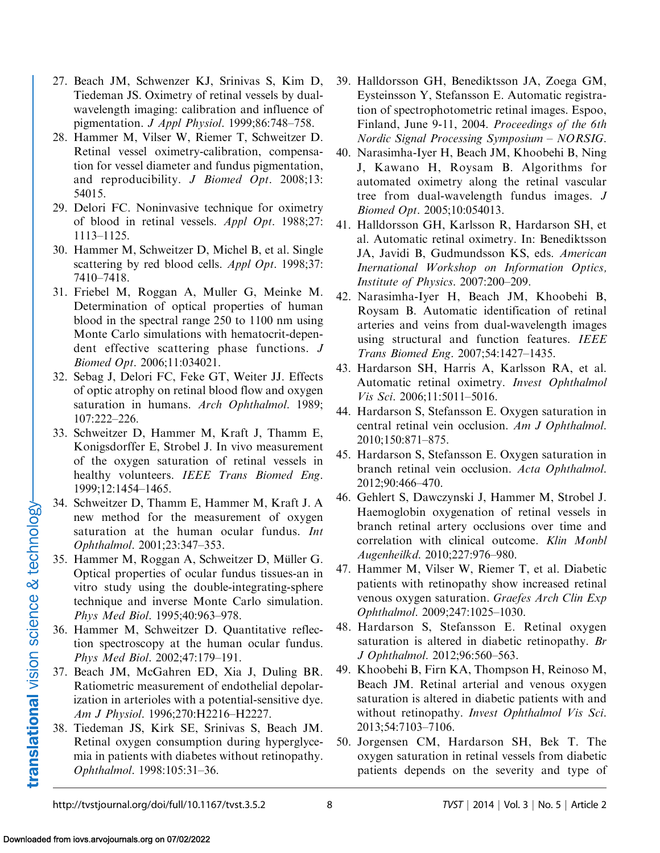- <span id="page-7-0"></span>27. Beach JM, Schwenzer KJ, Srinivas S, Kim D, Tiedeman JS. Oximetry of retinal vessels by dualwavelength imaging: calibration and influence of pigmentation. J Appl Physiol. 1999;86:748–758.
- 28. Hammer M, Vilser W, Riemer T, Schweitzer D. Retinal vessel oximetry-calibration, compensation for vessel diameter and fundus pigmentation, and reproducibility. *J Biomed Opt*. 2008;13: 54015.
- 29. Delori FC. Noninvasive technique for oximetry of blood in retinal vessels. Appl Opt. 1988;27: 1113–1125.
- 30. Hammer M, Schweitzer D, Michel B, et al. Single scattering by red blood cells. Appl Opt. 1998;37: 7410–7418.
- 31. Friebel M, Roggan A, Muller G, Meinke M. Determination of optical properties of human blood in the spectral range 250 to 1100 nm using Monte Carlo simulations with hematocrit-dependent effective scattering phase functions. J Biomed Opt. 2006;11:034021.
- 32. Sebag J, Delori FC, Feke GT, Weiter JJ. Effects of optic atrophy on retinal blood flow and oxygen saturation in humans. Arch Ophthalmol. 1989; 107:222–226.
- 33. Schweitzer D, Hammer M, Kraft J, Thamm E, Konigsdorffer E, Strobel J. In vivo measurement of the oxygen saturation of retinal vessels in healthy volunteers. IEEE Trans Biomed Eng. 1999;12:1454–1465.
- 34. Schweitzer D, Thamm E, Hammer M, Kraft J. A new method for the measurement of oxygen saturation at the human ocular fundus. Int Ophthalmol. 2001;23:347–353.
- 35. Hammer M, Roggan A, Schweitzer D, Müller G. Optical properties of ocular fundus tissues-an in vitro study using the double-integrating-sphere technique and inverse Monte Carlo simulation. Phys Med Biol. 1995;40:963-978.
- 36. Hammer M, Schweitzer D. Quantitative reflection spectroscopy at the human ocular fundus. Phys Med Biol. 2002;47:179–191.
- 37. Beach JM, McGahren ED, Xia J, Duling BR. Ratiometric measurement of endothelial depolarization in arterioles with a potential-sensitive dye. Am J Physiol. 1996;270:H2216–H2227.
- 38. Tiedeman JS, Kirk SE, Srinivas S, Beach JM. Retinal oxygen consumption during hyperglycemia in patients with diabetes without retinopathy. Ophthalmol. 1998:105:31–36.
- 39. Halldorsson GH, Benediktsson JA, Zoega GM, Eysteinsson Y, Stefansson E. Automatic registration of spectrophotometric retinal images. Espoo, Finland, June 9-11, 2004. Proceedings of the 6th Nordic Signal Processing Symposium – NORSIG.
- 40. Narasimha-Iyer H, Beach JM, Khoobehi B, Ning J, Kawano H, Roysam B. Algorithms for automated oximetry along the retinal vascular tree from dual-wavelength fundus images. J Biomed Opt. 2005;10:054013.
- 41. Halldorsson GH, Karlsson R, Hardarson SH, et al. Automatic retinal oximetry. In: Benediktsson JA, Javidi B, Gudmundsson KS, eds. American Inernational Workshop on Information Optics, Institute of Physics. 2007:200–209.
- 42. Narasimha-Iyer H, Beach JM, Khoobehi B, Roysam B. Automatic identification of retinal arteries and veins from dual-wavelength images using structural and function features. IEEE Trans Biomed Eng. 2007;54:1427–1435.
- 43. Hardarson SH, Harris A, Karlsson RA, et al. Automatic retinal oximetry. Invest Ophthalmol Vis Sci. 2006;11:5011–5016.
- 44. Hardarson S, Stefansson E. Oxygen saturation in central retinal vein occlusion. Am J Ophthalmol. 2010;150:871–875.
- 45. Hardarson S, Stefansson E. Oxygen saturation in branch retinal vein occlusion. Acta Ophthalmol. 2012;90:466–470.
- 46. Gehlert S, Dawczynski J, Hammer M, Strobel J. Haemoglobin oxygenation of retinal vessels in branch retinal artery occlusions over time and correlation with clinical outcome. Klin Monbl Augenheilkd. 2010;227:976–980.
- 47. Hammer M, Vilser W, Riemer T, et al. Diabetic patients with retinopathy show increased retinal venous oxygen saturation. Graefes Arch Clin Exp Ophthalmol. 2009;247:1025–1030.
- 48. Hardarson S, Stefansson E. Retinal oxygen saturation is altered in diabetic retinopathy. Br J Ophthalmol. 2012;96:560–563.
- 49. Khoobehi B, Firn KA, Thompson H, Reinoso M, Beach JM. Retinal arterial and venous oxygen saturation is altered in diabetic patients with and without retinopathy. Invest Ophthalmol Vis Sci. 2013;54:7103–7106.
- 50. Jorgensen CM, Hardarson SH, Bek T. The oxygen saturation in retinal vessels from diabetic patients depends on the severity and type of